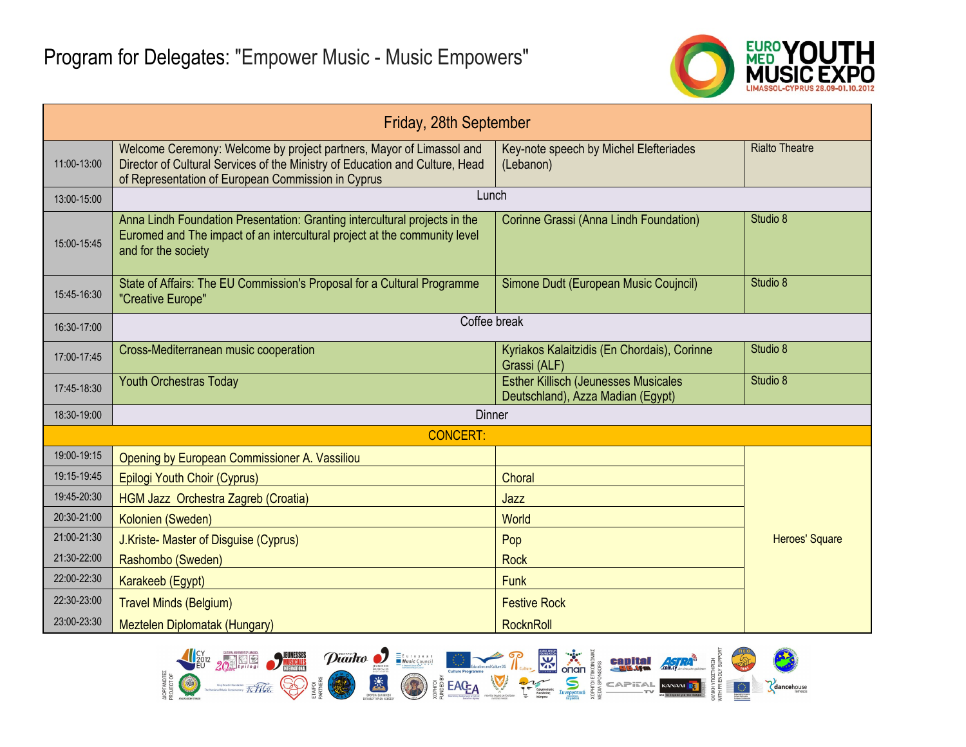

| Friday, 28th September |                                                                                                                                                                                                            |                                                                                  |                       |  |
|------------------------|------------------------------------------------------------------------------------------------------------------------------------------------------------------------------------------------------------|----------------------------------------------------------------------------------|-----------------------|--|
| 11:00-13:00            | Welcome Ceremony: Welcome by project partners, Mayor of Limassol and<br>Director of Cultural Services of the Ministry of Education and Culture, Head<br>of Representation of European Commission in Cyprus | Key-note speech by Michel Elefteriades<br>(Lebanon)                              | <b>Rialto Theatre</b> |  |
| 13:00-15:00            | Lunch                                                                                                                                                                                                      |                                                                                  |                       |  |
| 15:00-15:45            | Anna Lindh Foundation Presentation: Granting intercultural projects in the<br>Euromed and The impact of an intercultural project at the community level<br>and for the society                             | Corinne Grassi (Anna Lindh Foundation)                                           | Studio 8              |  |
| 15:45-16:30            | State of Affairs: The EU Commission's Proposal for a Cultural Programme<br>"Creative Europe"                                                                                                               | Simone Dudt (European Music Coujncil)                                            | Studio 8              |  |
| 16:30-17:00            | Coffee break                                                                                                                                                                                               |                                                                                  |                       |  |
| 17:00-17:45            | Cross-Mediterranean music cooperation                                                                                                                                                                      | Kyriakos Kalaitzidis (En Chordais), Corinne<br>Grassi (ALF)                      | Studio 8              |  |
| 17:45-18:30            | <b>Youth Orchestras Today</b>                                                                                                                                                                              | <b>Esther Killisch (Jeunesses Musicales</b><br>Deutschland), Azza Madian (Egypt) | Studio 8              |  |
| 18:30-19:00            | <b>Dinner</b>                                                                                                                                                                                              |                                                                                  |                       |  |
|                        | <b>CONCERT:</b>                                                                                                                                                                                            |                                                                                  |                       |  |
| 19:00-19:15            | Opening by European Commissioner A. Vassiliou                                                                                                                                                              |                                                                                  |                       |  |
| 19:15-19:45            | <b>Epilogi Youth Choir (Cyprus)</b>                                                                                                                                                                        | Choral                                                                           |                       |  |
| 19:45-20:30            | HGM Jazz Orchestra Zagreb (Croatia)                                                                                                                                                                        | Jazz                                                                             |                       |  |
| 20:30-21:00            | Kolonien (Sweden)                                                                                                                                                                                          | World                                                                            |                       |  |
| 21:00-21:30            | J.Kriste- Master of Disguise (Cyprus)                                                                                                                                                                      | Pop                                                                              | <b>Heroes' Square</b> |  |
| 21:30-22:00            | Rashombo (Sweden)                                                                                                                                                                                          | <b>Rock</b>                                                                      |                       |  |
| 22:00-22:30            | Karakeeb (Egypt)                                                                                                                                                                                           | <b>Funk</b>                                                                      |                       |  |
| 22:30-23:00            | <b>Travel Minds (Belgium)</b>                                                                                                                                                                              | <b>Festive Rock</b>                                                              |                       |  |
| 23:00-23:30            | Meztelen Diplomatak (Hungary)                                                                                                                                                                              | RocknRoll                                                                        |                       |  |

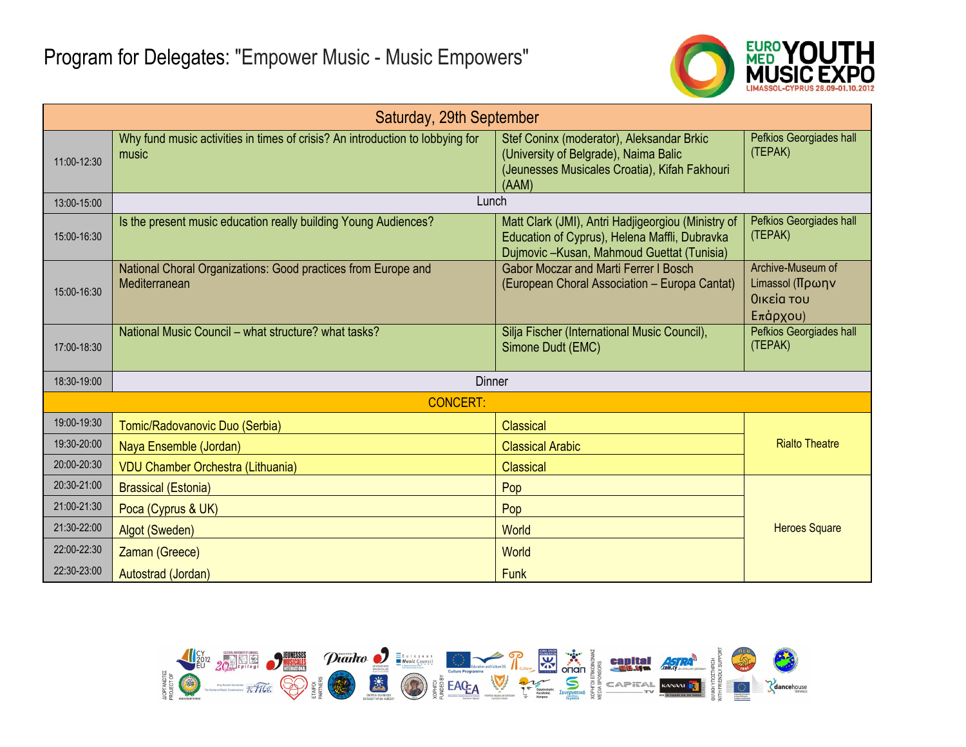

| Saturday, 29th September |                                                                                        |                                                                                                                                                  |                                                                     |  |
|--------------------------|----------------------------------------------------------------------------------------|--------------------------------------------------------------------------------------------------------------------------------------------------|---------------------------------------------------------------------|--|
| 11:00-12:30              | Why fund music activities in times of crisis? An introduction to lobbying for<br>music | Stef Coninx (moderator), Aleksandar Brkic<br>(University of Belgrade), Naima Balic<br>(Jeunesses Musicales Croatia), Kifah Fakhouri<br>(AAM)     | Pefkios Georgiades hall<br>(TEPAK)                                  |  |
| 13:00-15:00              | Lunch                                                                                  |                                                                                                                                                  |                                                                     |  |
| 15:00-16:30              | Is the present music education really building Young Audiences?                        | Matt Clark (JMI), Antri Hadjigeorgiou (Ministry of<br>Education of Cyprus), Helena Maffli, Dubravka<br>Dujmovic-Kusan, Mahmoud Guettat (Tunisia) | Pefkios Georgiades hall<br>(TEPAK)                                  |  |
| 15:00-16:30              | National Choral Organizations: Good practices from Europe and<br>Mediterranean         | <b>Gabor Moczar and Marti Ferrer I Bosch</b><br>(European Choral Association - Europa Cantat)                                                    | Archive-Museum of<br>Limassol (Πρωην<br>Οικεία του<br>$E\pi$ apyou) |  |
| 17:00-18:30              | National Music Council - what structure? what tasks?                                   | Silja Fischer (International Music Council),<br>Simone Dudt (EMC)                                                                                | Pefkios Georgiades hall<br>(TEPAK)                                  |  |
| 18:30-19:00              | <b>Dinner</b>                                                                          |                                                                                                                                                  |                                                                     |  |
| <b>CONCERT:</b>          |                                                                                        |                                                                                                                                                  |                                                                     |  |
| 19:00-19:30              | Tomic/Radovanovic Duo (Serbia)                                                         | <b>Classical</b>                                                                                                                                 |                                                                     |  |
| 19:30-20:00              | Naya Ensemble (Jordan)                                                                 | <b>Classical Arabic</b>                                                                                                                          | <b>Rialto Theatre</b>                                               |  |
| 20:00-20:30              | <b>VDU Chamber Orchestra (Lithuania)</b>                                               | Classical                                                                                                                                        |                                                                     |  |
| 20:30-21:00              | <b>Brassical (Estonia)</b>                                                             | Pop                                                                                                                                              |                                                                     |  |
| 21:00-21:30              | Poca (Cyprus & UK)                                                                     | Pop                                                                                                                                              |                                                                     |  |
| 21:30-22:00              | Algot (Sweden)                                                                         | World                                                                                                                                            | <b>Heroes Square</b>                                                |  |
| 22:00-22:30              | Zaman (Greece)                                                                         | <b>World</b>                                                                                                                                     |                                                                     |  |
| 22:30-23:00              | Autostrad (Jordan)                                                                     | <b>Funk</b>                                                                                                                                      |                                                                     |  |